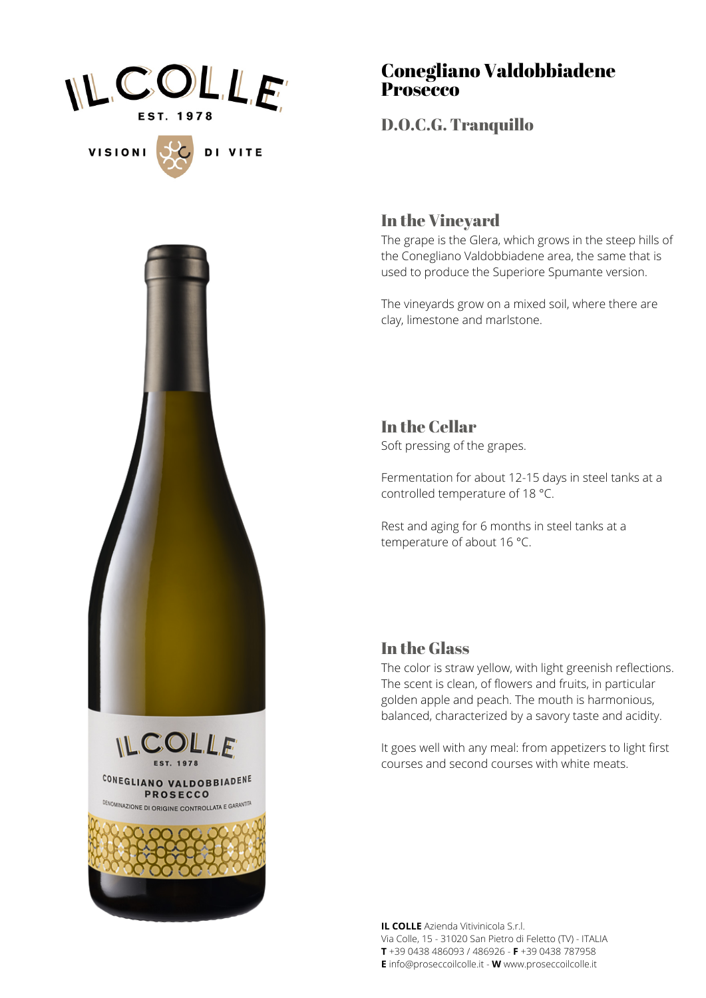

**VISIONI** 

DI VITE





## Conegliano Valdobbiadene **Prosecco**

D.O.C.G. Tranquillo

## In the Vineyard

The grape is the Glera, which grows in the steep hills of the Conegliano Valdobbiadene area, the same that is used to produce the Superiore Spumante version.

The vineyards grow on a mixed soil, where there are clay, limestone and marlstone.

In the Cellar Soft pressing of the grapes.

Fermentation for about 12-15 days in steel tanks at a controlled temperature of 18 °C.

Rest and aging for 6 months in steel tanks at a temperature of about 16 °C.

## In the Glass

The color is straw yellow, with light greenish reflections. The scent is clean, of flowers and fruits, in particular golden apple and peach. The mouth is harmonious, balanced, characterized by a savory taste and acidity.

It goes well with any meal: from appetizers to light first courses and second courses with white meats.

**IL COLLE** Azienda Vitivinicola S.r.l. Via Colle, 15 - 31020 San Pietro di Feletto (TV) - ITALIA **T** +39 0438 486093 / 486926 - **F** +39 0438 787958 **E** info@proseccoilcolle.it - **W** www.proseccoilcolle.it